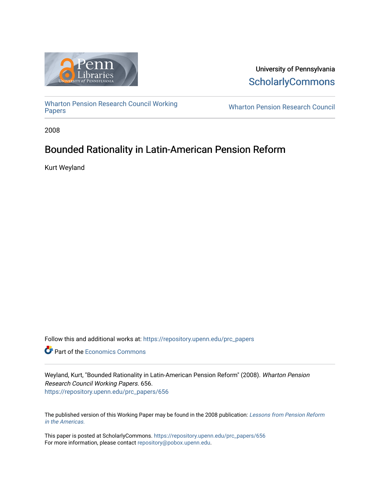

University of Pennsylvania **ScholarlyCommons** 

[Wharton Pension Research Council Working](https://repository.upenn.edu/prc_papers)

**Wharton Pension Research Council** 

2008

# Bounded Rationality in Latin-American Pension Reform

Kurt Weyland

Follow this and additional works at: [https://repository.upenn.edu/prc\\_papers](https://repository.upenn.edu/prc_papers?utm_source=repository.upenn.edu%2Fprc_papers%2F656&utm_medium=PDF&utm_campaign=PDFCoverPages) 

Part of the [Economics Commons](http://network.bepress.com/hgg/discipline/340?utm_source=repository.upenn.edu%2Fprc_papers%2F656&utm_medium=PDF&utm_campaign=PDFCoverPages)

Weyland, Kurt, "Bounded Rationality in Latin-American Pension Reform" (2008). Wharton Pension Research Council Working Papers. 656. [https://repository.upenn.edu/prc\\_papers/656](https://repository.upenn.edu/prc_papers/656?utm_source=repository.upenn.edu%2Fprc_papers%2F656&utm_medium=PDF&utm_campaign=PDFCoverPages) 

The published version of this Working Paper may be found in the 2008 publication: [Lessons from Pension Reform](https://pensionresearchcouncil.wharton.upenn.edu/publications/books/lessons-from-pension-reform-in-the-americas/) [in the Americas.](https://pensionresearchcouncil.wharton.upenn.edu/publications/books/lessons-from-pension-reform-in-the-americas/) 

This paper is posted at ScholarlyCommons. [https://repository.upenn.edu/prc\\_papers/656](https://repository.upenn.edu/prc_papers/656)  For more information, please contact [repository@pobox.upenn.edu.](mailto:repository@pobox.upenn.edu)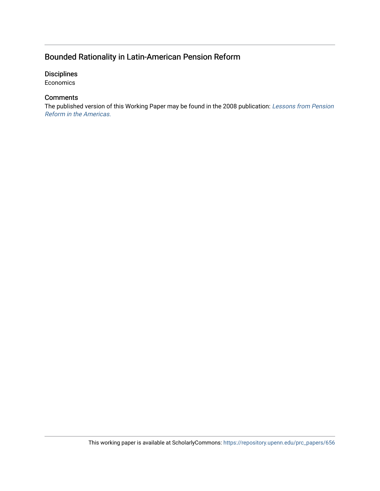# **Disciplines**

Economics

## **Comments**

The published version of this Working Paper may be found in the 2008 publication: [Lessons from Pension](https://pensionresearchcouncil.wharton.upenn.edu/publications/books/lessons-from-pension-reform-in-the-americas/)  [Reform in the Americas.](https://pensionresearchcouncil.wharton.upenn.edu/publications/books/lessons-from-pension-reform-in-the-americas/)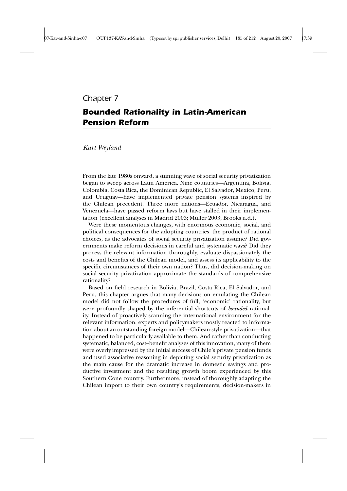*Chapter 7*

# *Bounded Rationality in Latin-American Pension Reform*

*Kurt Weyland*

From the late 1980s onward, a stunning wave of social security privatization began to sweep across Latin America. Nine countries—Argentina, Bolivia, Colombia, Costa Rica, the Dominican Republic, El Salvador, Mexico, Peru, and Uruguay—have implemented private pension systems inspired by the Chilean precedent. Three more nations—Ecuador, Nicaragua, and Venezuela—have passed reform laws but have stalled in their implementation (excellent analyses in Madrid 2003; Müller 2003; Brooks n.d.).

Were these momentous changes, with enormous economic, social, and political consequences for the adopting countries, the product of rational choices, as the advocates of social security privatization assume? Did governments make reform decisions in careful and systematic ways? Did they process the relevant information thoroughly, evaluate dispassionately the costs and benefits of the Chilean model, and assess its applicability to the specific circumstances of their own nation? Thus, did decision-making on social security privatization approximate the standards of comprehensive rationality?

Based on field research in Bolivia, Brazil, Costa Rica, El Salvador, and Peru, this chapter argues that many decisions on emulating the Chilean model did not follow the procedures of full, 'economic' rationality, but were profoundly shaped by the inferential shortcuts of *bounded* rationality. Instead of proactively scanning the international environment for the relevant information, experts and policymakers mostly reacted to information about an outstanding foreign model—Chilean-style privatization—that happened to be particularly available to them. And rather than conducting systematic, balanced, cost–benefit analyses of this innovation, many of them were overly impressed by the initial success of Chile's private pension funds and used associative reasoning in depicting social security privatization as the main cause for the dramatic increase in domestic savings and productive investment and the resulting growth boom experienced by this Southern Cone country. Furthermore, instead of thoroughly adapting the Chilean import to their own country's requirements, decision-makers in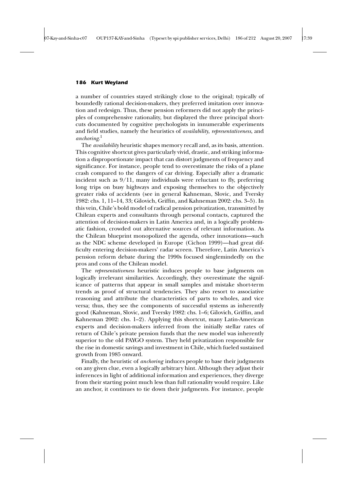a number of countries stayed strikingly close to the original; typically of boundedly rational decision-makers, they preferred imitation over innovation and redesign. Thus, these pension reformers did not apply the principles of comprehensive rationality, but displayed the three principal shortcuts documented by cognitive psychologists in innumerable experiments and field studies, namely the heuristics of *availability*, *representativeness*, and *anchoring*. 1

The *availability* heuristic shapes memory recall and, as its basis, attention. This cognitive shortcut gives particularly vivid, drastic, and striking information a disproportionate impact that can distort judgments of frequency and significance. For instance, people tend to overestimate the risks of a plane crash compared to the dangers of car driving. Especially after a dramatic incident such as 9/11, many individuals were reluctant to fly, preferring long trips on busy highways and exposing themselves to the objectively greater risks of accidents (see in general Kahneman, Slovic, and Tversky 1982: chs. 1, 11–14, 33; Gilovich, Griffin, and Kahneman 2002: chs. 3–5). In this vein, Chile's bold model of radical pension privatization, transmitted by Chilean experts and consultants through personal contacts, captured the attention of decision-makers in Latin America and, in a logically problematic fashion, crowded out alternative sources of relevant information. As the Chilean blueprint monopolized the agenda, other innovations—such as the NDC scheme developed in Europe (Cichon 1999)—had great difficulty entering decision-makers' radar screen. Therefore, Latin America's pension reform debate during the 1990s focused singlemindedly on the pros and cons of the Chilean model.

The *representativeness* heuristic induces people to base judgments on logically irrelevant similarities. Accordingly, they overestimate the significance of patterns that appear in small samples and mistake short-term trends as proof of structural tendencies. They also resort to associative reasoning and attribute the characteristics of parts to wholes, and vice versa; thus, they see the components of successful systems as inherently good (Kahneman, Slovic, and Tversky 1982: chs. 1–6; Gilovich, Griffin, and Kahneman 2002: chs. 1–2). Applying this shortcut, many Latin-American experts and decision-makers inferred from the initially stellar rates of return of Chile's private pension funds that the new model was inherently superior to the old PAYGO system. They held privatization responsible for the rise in domestic savings and investment in Chile, which fueled sustained growth from 1985 onward.

Finally, the heuristic of *anchoring* induces people to base their judgments on any given clue, even a logically arbitrary hint. Although they adjust their inferences in light of additional information and experiences, they diverge from their starting point much less than full rationality would require. Like an anchor, it continues to tie down their judgments. For instance, people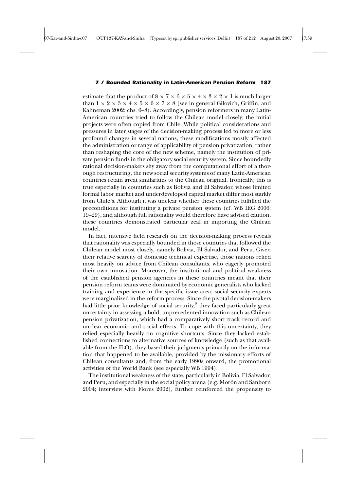estimate that the product of  $8 \times 7 \times 6 \times 5 \times 4 \times 3 \times 2 \times 1$  is much larger than  $1 \times 2 \times 3 \times 4 \times 5 \times 6 \times 7 \times 8$  (see in general Gilovich, Griffin, and Kahneman 2002: chs. 6–8). Accordingly, pension reformers in many Latin-American countries tried to follow the Chilean model closely; the initial projects were often copied from Chile. While political considerations and pressures in later stages of the decision-making process led to more or less profound changes in several nations, these modifications mostly affected the administration or range of applicability of pension privatization, rather than reshaping the core of the new scheme, namely the institution of private pension funds in the obligatory social security system. Since boundedly rational decision-makers shy away from the computational effort of a thorough restructuring, the new social security systems of many Latin-American countries retain great similarities to the Chilean original. Ironically, this is true especially in countries such as Bolivia and El Salvador, whose limited formal labor market and underdeveloped capital market differ most starkly from Chile's. Although it was unclear whether these countries fulfilled the preconditions for instituting a private pension system (cf. WB IEG 2006: 19–29), and although full rationality would therefore have advised caution, these countries demonstrated particular zeal in importing the Chilean model.

In fact, intensive field research on the decision-making process reveals that rationality was especially bounded in those countries that followed the Chilean model most closely, namely Bolivia, El Salvador, and Peru. Given their relative scarcity of domestic technical expertise, those nations relied most heavily on advice from Chilean consultants, who eagerly promoted their own innovation. Moreover, the institutional and political weakness of the established pension agencies in these countries meant that their pension reform teams were dominated by economic generalists who lacked training and experience in the specific issue area; social security experts were marginalized in the reform process. Since the pivotal decision-makers had little prior knowledge of social security, $\frac{1}{2}$  they faced particularly great uncertainty in assessing a bold, unprecedented innovation such as Chilean pension privatization, which had a comparatively short track record and unclear economic and social effects. To cope with this uncertainty, they relied especially heavily on cognitive shortcuts. Since they lacked established connections to alternative sources of knowledge (such as that available from the ILO), they based their judgments primarily on the information that happened to be available, provided by the missionary efforts of Chilean consultants and, from the early 1990s onward, the promotional activities of the World Bank (see especially WB 1994).

The institutional weakness of the state, particularly in Bolivia, El Salvador, and Peru, and especially in the social policy arena (e.g. Morón and Sanborn 2004; interview with Flores 2002), further reinforced the propensity to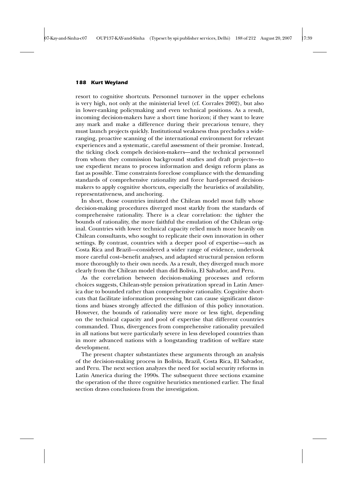resort to cognitive shortcuts. Personnel turnover in the upper echelons is very high, not only at the ministerial level (cf. Corrales 2002), but also in lower-ranking policymaking and even technical positions. As a result, incoming decision-makers have a short time horizon; if they want to leave any mark and make a difference during their precarious tenure, they must launch projects quickly. Institutional weakness thus precludes a wideranging, proactive scanning of the international environment for relevant experiences and a systematic, careful assessment of their promise. Instead, the ticking clock compels decision-makers—and the technical personnel from whom they commission background studies and draft projects—to use expedient means to process information and design reform plans as fast as possible. Time constraints foreclose compliance with the demanding standards of comprehensive rationality and force hard-pressed decisionmakers to apply cognitive shortcuts, especially the heuristics of availability, representativeness, and anchoring.

In short, those countries imitated the Chilean model most fully whose decision-making procedures diverged most starkly from the standards of comprehensive rationality. There is a clear correlation: the tighter the bounds of rationality, the more faithful the emulation of the Chilean original. Countries with lower technical capacity relied much more heavily on Chilean consultants, who sought to replicate their own innovation in other settings. By contrast, countries with a deeper pool of expertise—such as Costa Rica and Brazil—considered a wider range of evidence, undertook more careful cost–benefit analyses, and adapted structural pension reform more thoroughly to their own needs. As a result, they diverged much more clearly from the Chilean model than did Bolivia, El Salvador, and Peru.

As the correlation between decision-making processes and reform choices suggests, Chilean-style pension privatization spread in Latin America due to bounded rather than comprehensive rationality. Cognitive shortcuts that facilitate information processing but can cause significant distortions and biases strongly affected the diffusion of this policy innovation. However, the bounds of rationality were more or less tight, depending on the technical capacity and pool of expertise that different countries commanded. Thus, divergences from comprehensive rationality prevailed in all nations but were particularly severe in less developed countries than in more advanced nations with a longstanding tradition of welfare state development.

The present chapter substantiates these arguments through an analysis of the decision-making process in Bolivia, Brazil, Costa Rica, El Salvador, and Peru. The next section analyzes the need for social security reforms in Latin America during the 1990s. The subsequent three sections examine the operation of the three cognitive heuristics mentioned earlier. The final section draws conclusions from the investigation.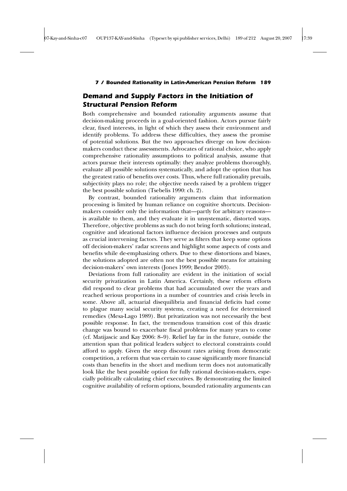## *Demand and Supply Factors in the Initiation of Structural Pension Reform*

Both comprehensive and bounded rationality arguments assume that decision-making proceeds in a goal-oriented fashion. Actors pursue fairly clear, fixed interests, in light of which they assess their environment and identify problems. To address these difficulties, they assess the promise of potential solutions. But the two approaches diverge on how decisionmakers conduct these assessments. Advocates of rational choice, who apply comprehensive rationality assumptions to political analysis, assume that actors pursue their interests optimally: they analyze problems thoroughly, evaluate all possible solutions systematically, and adopt the option that has the greatest ratio of benefits over costs. Thus, where full rationality prevails, subjectivity plays no role; the objective needs raised by a problem trigger the best possible solution (Tsebelis 1990: ch. 2).

By contrast, bounded rationality arguments claim that information processing is limited by human reliance on cognitive shortcuts. Decisionmakers consider only the information that—partly for arbitrary reasons is available to them, and they evaluate it in unsystematic, distorted ways. Therefore, objective problems as such do not bring forth solutions; instead, cognitive and ideational factors influence decision processes and outputs as crucial intervening factors. They serve as filters that keep some options off decision-makers' radar screens and highlight some aspects of costs and benefits while de-emphasizing others. Due to these distortions and biases, the solutions adopted are often not the best possible means for attaining decision-makers' own interests (Jones 1999; Bendor 2003).

Deviations from full rationality are evident in the initiation of social security privatization in Latin America. Certainly, these reform efforts did respond to clear problems that had accumulated over the years and reached serious proportions in a number of countries and crisis levels in some. Above all, actuarial disequilibria and financial deficits had come to plague many social security systems, creating a need for determined remedies (Mesa-Lago 1989). But privatization was not necessarily the best possible response. In fact, the tremendous transition cost of this drastic change was bound to exacerbate fiscal problems for many years to come (cf. Matijascic and Kay 2006: 8–9). Relief lay far in the future, outside the attention span that political leaders subject to electoral constraints could afford to apply. Given the steep discount rates arising from democratic competition, a reform that was certain to cause significantly more financial costs than benefits in the short and medium term does not automatically look like the best possible option for fully rational decision-makers, especially politically calculating chief executives. By demonstrating the limited cognitive availability of reform options, bounded rationality arguments can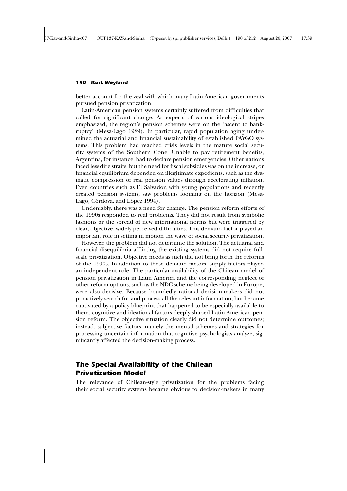better account for the zeal with which many Latin-American governments pursued pension privatization.

Latin-American pension systems certainly suffered from difficulties that called for significant change. As experts of various ideological stripes emphasized, the region's pension schemes were on the 'ascent to bankruptcy' (Mesa-Lago 1989). In particular, rapid population aging undermined the actuarial and financial sustainability of established PAYGO systems. This problem had reached crisis levels in the mature social security systems of the Southern Cone. Unable to pay retirement benefits, Argentina, for instance, had to declare pension emergencies. Other nations faced less dire straits, but the need for fiscal subsidies was on the increase, or financial equilibrium depended on illegitimate expedients, such as the dramatic compression of real pension values through accelerating inflation. Even countries such as El Salvador, with young populations and recently created pension systems, saw problems looming on the horizon (Mesa-Lago, Córdova, and López 1994).

Undeniably, there was a need for change. The pension reform efforts of the 1990s responded to real problems. They did not result from symbolic fashions or the spread of new international norms but were triggered by clear, objective, widely perceived difficulties. This demand factor played an important role in setting in motion the wave of social security privatization.

However, the problem did not determine the solution. The actuarial and financial disequilibria afflicting the existing systems did not require fullscale privatization. Objective needs as such did not bring forth the reforms of the 1990s. In addition to these demand factors, supply factors played an independent role. The particular availability of the Chilean model of pension privatization in Latin America and the corresponding neglect of other reform options, such as the NDC scheme being developed in Europe, were also decisive. Because boundedly rational decision-makers did not proactively search for and process all the relevant information, but became captivated by a policy blueprint that happened to be especially available to them, cognitive and ideational factors deeply shaped Latin-American pension reform. The objective situation clearly did not determine outcomes; instead, subjective factors, namely the mental schemes and strategies for processing uncertain information that cognitive psychologists analyze, significantly affected the decision-making process.

## *The Special Availability of the Chilean Privatization Model*

The relevance of Chilean-style privatization for the problems facing their social security systems became obvious to decision-makers in many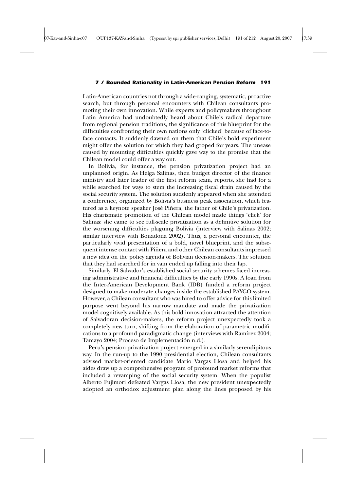Latin-American countries not through a wide-ranging, systematic, proactive search, but through personal encounters with Chilean consultants promoting their own innovation. While experts and policymakers throughout Latin America had undoubtedly heard about Chile's radical departure from regional pension traditions, the significance of this blueprint for the difficulties confronting their own nations only 'clicked' because of face-toface contacts. It suddenly dawned on them that Chile's bold experiment might offer the solution for which they had groped for years. The unease caused by mounting difficulties quickly gave way to the promise that the Chilean model could offer a way out.

In Bolivia, for instance, the pension privatization project had an unplanned origin. As Helga Salinas, then budget director of the finance ministry and later leader of the first reform team, reports, she had for a while searched for ways to stem the increasing fiscal drain caused by the social security system. The solution suddenly appeared when she attended a conference, organized by Bolivia's business peak association, which featured as a keynote speaker José Piñera, the father of Chile's privatization. His charismatic promotion of the Chilean model made things 'click' for Salinas: she came to see full-scale privatization as a definitive solution for the worsening difficulties plaguing Bolivia (interview with Salinas 2002; similar interview with Bonadona 2002). Thus, a personal encounter, the particularly vivid presentation of a bold, novel blueprint, and the subsequent intense contact with Piñera and other Chilean consultants impressed a new idea on the policy agenda of Bolivian decision-makers. The solution that they had searched for in vain ended up falling into their lap.

Similarly, El Salvador's established social security schemes faced increasing administrative and financial difficulties by the early 1990s. A loan from the Inter-American Development Bank (IDB) funded a reform project designed to make moderate changes inside the established PAYGO system. However, a Chilean consultant who was hired to offer advice for this limited purpose went beyond his narrow mandate and made the privatization model cognitively available. As this bold innovation attracted the attention of Salvadoran decision-makers, the reform project unexpectedly took a completely new turn, shifting from the elaboration of parametric modifications to a profound paradigmatic change (interviews with Ramírez 2004; Tamayo 2004; Proceso de Implementación n.d.).

Peru's pension privatization project emerged in a similarly serendipitous way. In the run-up to the 1990 presidential election, Chilean consultants advised market-oriented candidate Mario Vargas Llosa and helped his aides draw up a comprehensive program of profound market reforms that included a revamping of the social security system. When the populist Alberto Fujimori defeated Vargas Llosa, the new president unexpectedly adopted an orthodox adjustment plan along the lines proposed by his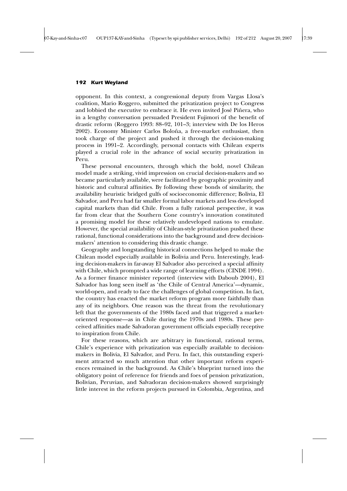opponent. In this context, a congressional deputy from Vargas Llosa's coalition, Mario Roggero, submitted the privatization project to Congress and lobbied the executive to embrace it. He even invited José Piñera, who in a lengthy conversation persuaded President Fujimori of the benefit of drastic reform (Roggero 1993: 88–92, 101–3; interview with De los Heros 2002). Economy Minister Carlos Boloña, a free-market enthusiast, then took charge of the project and pushed it through the decision-making process in 1991–2. Accordingly, personal contacts with Chilean experts played a crucial role in the advance of social security privatization in Peru.

These personal encounters, through which the bold, novel Chilean model made a striking, vivid impression on crucial decision-makers and so became particularly available, were facilitated by geographic proximity and historic and cultural affinities. By following these bonds of similarity, the availability heuristic bridged gulfs of socioeconomic difference; Bolivia, El Salvador, and Peru had far smaller formal labor markets and less developed capital markets than did Chile. From a fully rational perspective, it was far from clear that the Southern Cone country's innovation constituted a promising model for these relatively undeveloped nations to emulate. However, the special availability of Chilean-style privatization pushed these rational, functional considerations into the background and drew decisionmakers' attention to considering this drastic change.

Geography and longstanding historical connections helped to make the Chilean model especially available in Bolivia and Peru. Interestingly, leading decision-makers in far-away El Salvador also perceived a special affinity with Chile, which prompted a wide range of learning efforts (CINDE 1994). As a former finance minister reported (interview with Daboub 2004), El Salvador has long seen itself as 'the Chile of Central America'—dynamic, world-open, and ready to face the challenges of global competition. In fact, the country has enacted the market reform program more faithfully than any of its neighbors. One reason was the threat from the revolutionary left that the governments of the 1980s faced and that triggered a marketoriented response—as in Chile during the 1970s and 1980s. These perceived affinities made Salvadoran government officials especially receptive to inspiration from Chile.

For these reasons, which are arbitrary in functional, rational terms, Chile's experience with privatization was especially available to decisionmakers in Bolivia, El Salvador, and Peru. In fact, this outstanding experiment attracted so much attention that other important reform experiences remained in the background. As Chile's blueprint turned into the obligatory point of reference for friends and foes of pension privatization, Bolivian, Peruvian, and Salvadoran decision-makers showed surprisingly little interest in the reform projects pursued in Colombia, Argentina, and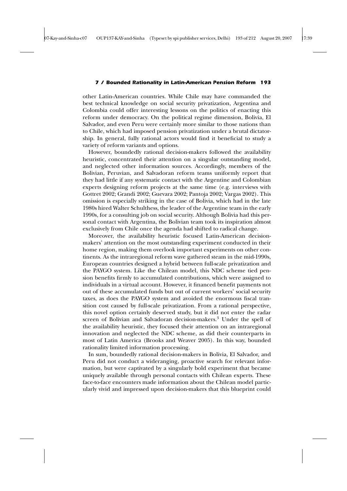other Latin-American countries. While Chile may have commanded the best technical knowledge on social security privatization, Argentina and Colombia could offer interesting lessons on the politics of enacting this reform under democracy. On the political regime dimension, Bolivia, El Salvador, and even Peru were certainly more similar to those nations than to Chile, which had imposed pension privatization under a brutal dictatorship. In general, fully rational actors would find it beneficial to study a variety of reform variants and options.

However, boundedly rational decision-makers followed the availability heuristic, concentrated their attention on a singular outstanding model, and neglected other information sources. Accordingly, members of the Bolivian, Peruvian, and Salvadoran reform teams uniformly report that they had little if any systematic contact with the Argentine and Colombian experts designing reform projects at the same time (e.g. interviews with Gottret 2002; Grandi 2002; Guevara 2002; Pantoja 2002; Vargas 2002). This omission is especially striking in the case of Bolivia, which had in the late 1980s hired Walter Schulthess, the leader of the Argentine team in the early 1990s, for a consulting job on social security. Although Bolivia had this personal contact with Argentina, the Bolivian team took its inspiration almost exclusively from Chile once the agenda had shifted to radical change.

Moreover, the availability heuristic focused Latin-American decisionmakers' attention on the most outstanding experiment conducted in their home region, making them overlook important experiments on other continents. As the intraregional reform wave gathered steam in the mid-1990s, European countries designed a hybrid between full-scale privatization and the PAYGO system. Like the Chilean model, this NDC scheme tied pension benefits firmly to accumulated contributions, which were assigned to individuals in a virtual account. However, it financed benefit payments not out of these accumulated funds but out of current workers' social security taxes, as does the PAYGO system and avoided the enormous fiscal transition cost caused by full-scale privatization. From a rational perspective, this novel option certainly deserved study, but it did not enter the radar screen of Bolivian and Salvadoran decision-makers.<sup>3</sup> Under the spell of the availability heuristic, they focused their attention on an intraregional innovation and neglected the NDC scheme, as did their counterparts in most of Latin America (Brooks and Weaver 2005). In this way, bounded rationality limited information processing.

In sum, boundedly rational decision-makers in Bolivia, El Salvador, and Peru did not conduct a wideranging, proactive search for relevant information, but were captivated by a singularly bold experiment that became uniquely available through personal contacts with Chilean experts. These face-to-face encounters made information about the Chilean model particularly vivid and impressed upon decision-makers that this blueprint could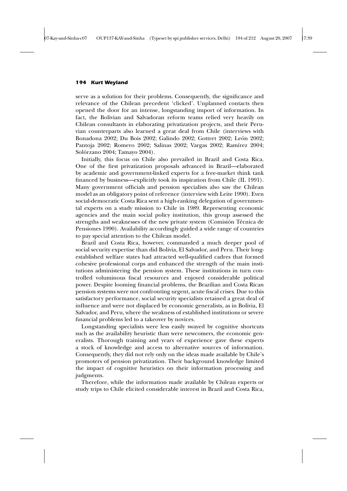serve as a solution for their problems. Consequently, the significance and relevance of the Chilean precedent 'clicked'. Unplanned contacts then opened the door for an intense, longstanding import of information. In fact, the Bolivian and Salvadoran reform teams relied very heavily on Chilean consultants in elaborating privatization projects, and their Peruvian counterparts also learned a great deal from Chile (interviews with Bonadona 2002; Du Bois 2002; Galindo 2002; Gottret 2002; León 2002; Pantoja 2002; Romero 2002; Salinas 2002; Vargas 2002; Ramírez 2004; Solórzano 2004; Tamayo 2004).

Initially, this focus on Chile also prevailed in Brazil and Costa Rica. One of the first privatization proposals advanced in Brazil—elaborated by academic and government-linked experts for a free-market think tank financed by business—explicitly took its inspiration from Chile (IL 1991). Many government officials and pension specialists also saw the Chilean model as an obligatory point of reference (interview with Leite 1990). Even social-democratic Costa Rica sent a high-ranking delegation of governmental experts on a study mission to Chile in 1989. Representing economic agencies and the main social policy institution, this group assessed the strengths and weaknesses of the new private system (Comisión Técnica de Pensiones 1990). Availability accordingly guided a wide range of countries to pay special attention to the Chilean model.

Brazil and Costa Rica, however, commanded a much deeper pool of social security expertise than did Bolivia, El Salvador, and Peru. Their longestablished welfare states had attracted well-qualified cadres that formed cohesive professional corps and enhanced the strength of the main institutions administering the pension system. These institutions in turn controlled voluminous fiscal resources and enjoyed considerable political power. Despite looming financial problems, the Brazilian and Costa Rican pension systems were not confronting urgent, acute fiscal crises. Due to this satisfactory performance, social security specialists retained a great deal of influence and were not displaced by economic generalists, as in Bolivia, El Salvador, and Peru, where the weakness of established institutions or severe financial problems led to a takeover by novices.

Longstanding specialists were less easily swayed by cognitive shortcuts such as the availability heuristic than were newcomers, the economic generalists. Thorough training and years of experience gave these experts a stock of knowledge and access to alternative sources of information. Consequently, they did not rely only on the ideas made available by Chile's promoters of pension privatization. Their background knowledge limited the impact of cognitive heuristics on their information processing and judgments.

Therefore, while the information made available by Chilean experts or study trips to Chile elicited considerable interest in Brazil and Costa Rica,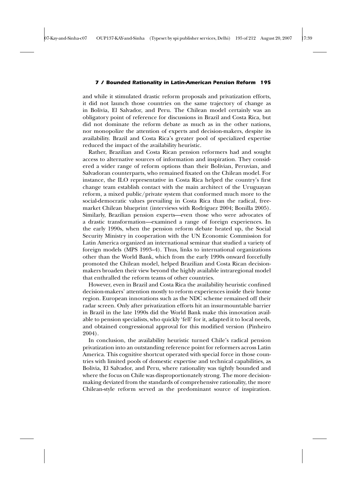and while it stimulated drastic reform proposals and privatization efforts, it did not launch those countries on the same trajectory of change as in Bolivia, El Salvador, and Peru. The Chilean model certainly was an obligatory point of reference for discussions in Brazil and Costa Rica, but did not dominate the reform debate as much as in the other nations, nor monopolize the attention of experts and decision-makers, despite its availability. Brazil and Costa Rica's greater pool of specialized expertise reduced the impact of the availability heuristic.

Rather, Brazilian and Costa Rican pension reformers had and sought access to alternative sources of information and inspiration. They considered a wider range of reform options than their Bolivian, Peruvian, and Salvadoran counterparts, who remained fixated on the Chilean model. For instance, the ILO representative in Costa Rica helped the country's first change team establish contact with the main architect of the Uruguayan reform, a mixed public/private system that conformed much more to the social-democratic values prevailing in Costa Rica than the radical, freemarket Chilean blueprint (interviews with Rodríguez 2004; Bonilla 2005). Similarly, Brazilian pension experts—even those who were advocates of a drastic transformation—examined a range of foreign experiences. In the early 1990s, when the pension reform debate heated up, the Social Security Ministry in cooperation with the UN Economic Commission for Latin America organized an international seminar that studied a variety of foreign models (MPS 1993–4). Thus, links to international organizations other than the World Bank, which from the early 1990s onward forcefully promoted the Chilean model, helped Brazilian and Costa Rican decisionmakers broaden their view beyond the highly available intraregional model that enthralled the reform teams of other countries.

However, even in Brazil and Costa Rica the availability heuristic confined decision-makers' attention mostly to reform experiences inside their home region. European innovations such as the NDC scheme remained off their radar screen. Only after privatization efforts hit an insurmountable barrier in Brazil in the late 1990s did the World Bank make this innovation available to pension specialists, who quickly 'fell' for it, adapted it to local needs, and obtained congressional approval for this modified version (Pinheiro 2004).

In conclusion, the availability heuristic turned Chile's radical pension privatization into an outstanding reference point for reformers across Latin America. This cognitive shortcut operated with special force in those countries with limited pools of domestic expertise and technical capabilities, as Bolivia, El Salvador, and Peru, where rationality was tightly bounded and where the focus on Chile was disproportionately strong. The more decisionmaking deviated from the standards of comprehensive rationality, the more Chilean-style reform served as the predominant source of inspiration.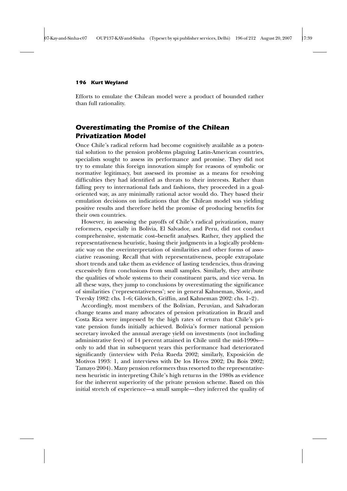Efforts to emulate the Chilean model were a product of bounded rather than full rationality.

# *Overestimating the Promise of the Chilean Privatization Model*

Once Chile's radical reform had become cognitively available as a potential solution to the pension problems plaguing Latin-American countries, specialists sought to assess its performance and promise. They did not try to emulate this foreign innovation simply for reasons of symbolic or normative legitimacy, but assessed its promise as a means for resolving difficulties they had identified as threats to their interests. Rather than falling prey to international fads and fashions, they proceeded in a goaloriented way, as any minimally rational actor would do. They based their emulation decisions on indications that the Chilean model was yielding positive results and therefore held the promise of producing benefits for their own countries.

However, in assessing the payoffs of Chile's radical privatization, many reformers, especially in Bolivia, El Salvador, and Peru, did not conduct comprehensive, systematic cost–benefit analyses. Rather, they applied the representativeness heuristic, basing their judgments in a logically problematic way on the overinterpretation of similarities and other forms of associative reasoning. Recall that with representativeness, people extrapolate short trends and take them as evidence of lasting tendencies, thus drawing excessively firm conclusions from small samples. Similarly, they attribute the qualities of whole systems to their constituent parts, and vice versa. In all these ways, they jump to conclusions by overestimating the significance of similarities ('representativeness'; see in general Kahneman, Slovic, and Tversky 1982: chs. 1–6; Gilovich, Griffin, and Kahneman 2002: chs. 1–2).

Accordingly, most members of the Bolivian, Peruvian, and Salvadoran change teams and many advocates of pension privatization in Brazil and Costa Rica were impressed by the high rates of return that Chile's private pension funds initially achieved. Bolivia's former national pension secretary invoked the annual average yield on investments (not including administrative fees) of 14 percent attained in Chile until the mid-1990s only to add that in subsequent years this performance had deteriorated significantly (interview with Peña Rueda 2002; similarly, Exposición de Motivos 1993: 1, and interviews with De los Heros 2002; Du Bois 2002; Tamayo 2004). Many pension reformers thus resorted to the representativeness heuristic in interpreting Chile's high returns in the 1980s as evidence for the inherent superiority of the private pension scheme. Based on this initial stretch of experience—a small sample—they inferred the quality of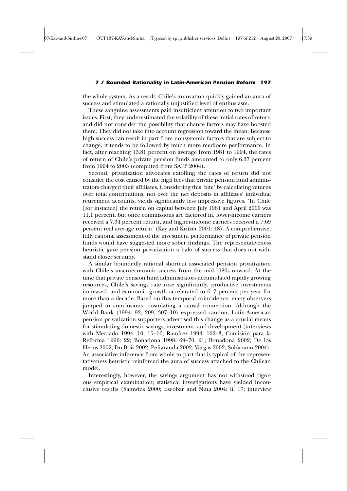the whole system. As a result, Chile's innovation quickly gained an aura of success and stimulated a rationally unjustified level of enthusiasm.

These sanguine assessments paid insufficient attention to two important issues. First, they underestimated the volatility of these initial rates of return and did not consider the possibility that chance factors may have boosted them. They did not take into account regression toward the mean. Because high success can result in part from nonsystemic factors that are subject to change, it tends to be followed by much more mediocre performance. In fact, after reaching 13.81 percent on average from 1981 to 1994, the rates of return of Chile's private pension funds amounted to only 6.37 percent from 1994 to 2003 (computed from SAFP 2004).

Second, privatization advocates extolling the rates of return did not consider the cost caused by the high fees that private pension fund administrators charged their affiliates. Considering this 'bite' by calculating returns over total contributions, not over the net deposits in affiliates' individual retirement accounts, yields significantly less impressive figures. 'In Chile [for instance] the return on capital between July 1981 and April 2000 was 11.1 percent, but once commissions are factored in, lower-income earners received a 7.34 percent return, and higher-income earners received a 7.69 percent real average return' (Kay and Kritzer 2001: 48). A comprehensive, fully rational assessment of the investment performance of private pension funds would have suggested more sober findings. The representativeness heuristic gave pension privatization a halo of success that does not withstand closer scrutiny.

A similar boundedly rational shortcut associated pension privatization with Chile's macroeconomic success from the mid-1980s onward. At the time that private pension fund administrators accumulated rapidly growing resources, Chile's savings rate rose significantly, productive investments increased, and economic growth accelerated to 6–7 percent per year for more than a decade. Based on this temporal coincidence, many observers jumped to conclusions, postulating a causal connection. Although the World Bank (1994: 92, 209, 307–10) expressed caution, Latin-American pension privatization supporters advertised this change as a crucial means for stimulating domestic savings, investment, and development (interviews with Mercado 1994: 10, 15–16; Ramírez 1994: 102–3; Comisión para la Reforma 1996: 22; Bonadona 1998: 69–70, 91; Bonadona 2002; De los Heros 2002; Du Bois 2002; Peñaranda 2002; Vargas 2002; Solórzano 2004). An associative inference from whole to part that is typical of the representativeness heuristic reinforced the aura of success attached to the Chilean model.

Interestingly, however, the savings argument has not withstood rigorous empirical examination; statistical investigations have yielded inconclusive results (Samwick 2000; Escobar and Nina 2004: ii, 17; interview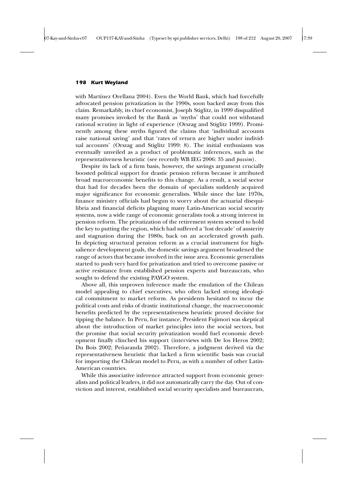with Martínez Orellana 2004). Even the World Bank, which had forcefully advocated pension privatization in the 1990s, soon backed away from this claim. Remarkably, its chief economist, Joseph Stiglitz, in 1999 disqualified many promises invoked by the Bank as 'myths' that could not withstand rational scrutiny in light of experience (Orszag and Stiglitz 1999). Prominently among these myths figured the claims that 'individual accounts raise national saving' and that 'rates of return are higher under individual accounts' (Orszag and Stiglitz 1999: 8). The initial enthusiasm was eventually unveiled as a product of problematic inferences, such as the representativeness heuristic (see recently WB IEG 2006: 35 and *passim*).

Despite its lack of a firm basis, however, the savings argument crucially boosted political support for drastic pension reform because it attributed broad macroeconomic benefits to this change. As a result, a social sector that had for decades been the domain of specialists suddenly acquired major significance for economic generalists. While since the late 1970s, finance ministry officials had begun to worry about the actuarial disequilibria and financial deficits plaguing many Latin-American social security systems, now a wide range of economic generalists took a strong interest in pension reform. The privatization of the retirement system seemed to hold the key to putting the region, which had suffered a 'lost decade' of austerity and stagnation during the 1980s, back on an accelerated growth path. In depicting structural pension reform as a crucial instrument for highsalience development goals, the domestic savings argument broadened the range of actors that became involved in the issue area. Economic generalists started to push very hard for privatization and tried to overcome passive or active resistance from established pension experts and bureaucrats, who sought to defend the existing PAYGO system.

Above all, this unproven inference made the emulation of the Chilean model appealing to chief executives, who often lacked strong ideological commitment to market reform. As presidents hesitated to incur the political costs and risks of drastic institutional change, the macroeconomic benefits predicted by the representativeness heuristic proved decisive for tipping the balance. In Peru, for instance, President Fujimori was skeptical about the introduction of market principles into the social sectors, but the promise that social security privatization would fuel economic development finally clinched his support (interviews with De los Heros 2002; Du Bois 2002; Peñaranda 2002). Therefore, a judgment derived via the representativeness heuristic that lacked a firm scientific basis was crucial for importing the Chilean model to Peru, as with a number of other Latin-American countries.

While this associative inference attracted support from economic generalists and political leaders, it did not automatically carry the day. Out of conviction and interest, established social security specialists and bureaucrats,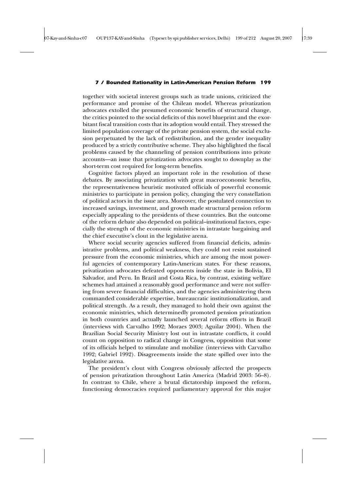together with societal interest groups such as trade unions, criticized the performance and promise of the Chilean model. Whereas privatization advocates extolled the presumed economic benefits of structural change, the critics pointed to the social deficits of this novel blueprint and the exorbitant fiscal transition costs that its adoption would entail. They stressed the limited population coverage of the private pension system, the social exclusion perpetuated by the lack of redistribution, and the gender inequality produced by a strictly contributive scheme. They also highlighted the fiscal problems caused by the channeling of pension contributions into private accounts—an issue that privatization advocates sought to downplay as the short-term cost required for long-term benefits.

Cognitive factors played an important role in the resolution of these debates. By associating privatization with great macroeconomic benefits, the representativeness heuristic motivated officials of powerful economic ministries to participate in pension policy, changing the very constellation of political actors in the issue area. Moreover, the postulated connection to increased savings, investment, and growth made structural pension reform especially appealing to the presidents of these countries. But the outcome of the reform debate also depended on political–institutional factors, especially the strength of the economic ministries in intrastate bargaining and the chief executive's clout in the legislative arena.

Where social security agencies suffered from financial deficits, administrative problems, and political weakness, they could not resist sustained pressure from the economic ministries, which are among the most powerful agencies of contemporary Latin-American states. For these reasons, privatization advocates defeated opponents inside the state in Bolivia, El Salvador, and Peru. In Brazil and Costa Rica, by contrast, existing welfare schemes had attained a reasonably good performance and were not suffering from severe financial difficulties, and the agencies administering them commanded considerable expertise, bureaucratic institutionalization, and political strength. As a result, they managed to hold their own against the economic ministries, which determinedly promoted pension privatization in both countries and actually launched several reform efforts in Brazil (interviews with Carvalho 1992; Moraes 2003; Aguilar 2004). When the Brazilian Social Security Ministry lost out in intrastate conflicts, it could count on opposition to radical change in Congress, opposition that some of its officials helped to stimulate and mobilize (interviews with Carvalho 1992; Gabriel 1992). Disagreements inside the state spilled over into the legislative arena.

The president's clout with Congress obviously affected the prospects of pension privatization throughout Latin America (Madrid 2003: 56–8). In contrast to Chile, where a brutal dictatorship imposed the reform, functioning democracies required parliamentary approval for this major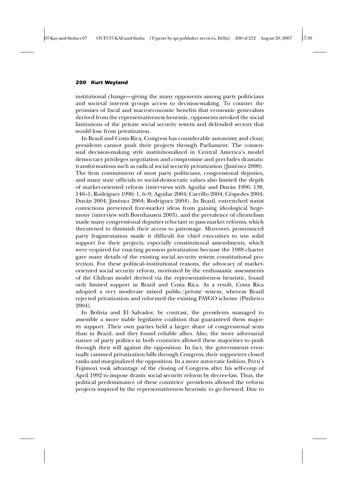institutional change—giving the many opponents among party politicians and societal interest groups access to decision-making. To counter the promises of fiscal and macroeconomic benefits that economic generalists derived from the representativeness heuristic, opponents invoked the social limitations of the private social security system and defended sectors that would lose from privatization.

In Brazil and Costa Rica, Congress has considerable autonomy and clout; presidents cannot push their projects through Parliament. The consensual decision-making style institutionalized in Central America's model democracy privileges negotiation and compromise and precludes dramatic transformations such as radical social security privatization (Jiménez 2000). The firm commitment of most party politicians, congressional deputies, and many state officials to social-democratic values also limited the depth of market-oriented reform (interviews with Aguilar and Durán 1996: 138, 140–1; Rodríguez 1996: 1, 6–9; Aguilar 2004; Carrillo 2004; Céspedes 2004; Durán 2004; Jiménez 2004; Rodríguez 2004). In Brazil, entrenched statist convictions prevented free-market ideas from gaining ideological hegemony (interview with Bornhausen 2003), and the prevalence of clientelism made many congressional deputies reluctant to pass market reforms, which threatened to diminish their access to patronage. Moreover, pronounced party fragmentation made it difficult for chief executives to win solid support for their projects, especially constitutional amendments, which were required for enacting pension privatization because the 1988 charter gave many details of the existing social security system constitutional protection. For these political–institutional reasons, the advocacy of marketoriented social security reform, motivated by the enthusiastic assessments of the Chilean model derived via the representativeness heuristic, found only limited support in Brazil and Costa Rica. As a result, Costa Rica adopted a very moderate mixed public/private system, whereas Brazil rejected privatization and reformed the existing PAYGO scheme (Pinheiro 2004).

In Bolivia and El Salvador, by contrast, the presidents managed to assemble a more stable legislative coalition that guaranteed them majority support. Their own parties held a larger share of congressional seats than in Brazil, and they found reliable allies. Also, the more adversarial nature of party politics in both countries allowed these majorities to push through their will against the opposition. In fact, the governments eventually rammed privatization bills through Congress; their supporters closed ranks and marginalized the opposition. In a more autocratic fashion, Peru's Fujimori took advantage of the closing of Congress after his self-coup of April 1992 to impose drastic social security reform by decree-law. Thus, the political predominance of these countries' presidents allowed the reform projects inspired by the representativeness heuristic to go forward. Due to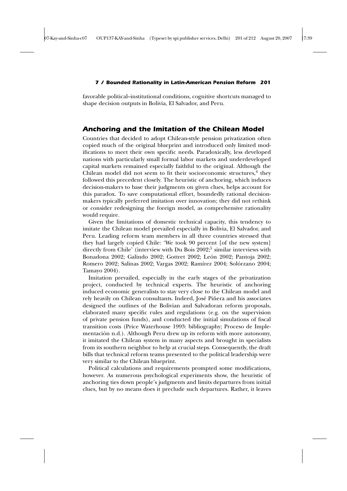favorable political–institutional conditions, cognitive shortcuts managed to shape decision outputs in Bolivia, El Salvador, and Peru.

## *Anchoring and the Imitation of the Chilean Model*

Countries that decided to adopt Chilean-style pension privatization often copied much of the original blueprint and introduced only limited modifications to meet their own specific needs. Paradoxically, less developed nations with particularly small formal labor markets and underdeveloped capital markets remained especially faithful to the original. Although the Chilean model did not seem to fit their socioeconomic structures, $4$  they followed this precedent closely. The heuristic of anchoring, which induces decision-makers to base their judgments on given clues, helps account for this paradox. To save computational effort, boundedly rational decisionmakers typically preferred imitation over innovation; they did not rethink or consider redesigning the foreign model, as comprehensive rationality would require.

Given the limitations of domestic technical capacity, this tendency to imitate the Chilean model prevailed especially in Bolivia, El Salvador, and Peru. Leading reform team members in all three countries stressed that they had largely copied Chile: 'We took 90 percent [of the new system] directly from Chile' (interview with Du Bois 2002;<sup>5</sup> similar interviews with Bonadona 2002; Galindo 2002; Gottret 2002; León 2002; Pantoja 2002; Romero 2002; Salinas 2002; Vargas 2002; Ramírez 2004; Solórzano 2004; Tamayo 2004).

Imitation prevailed, especially in the early stages of the privatization project, conducted by technical experts. The heuristic of anchoring induced economic generalists to stay very close to the Chilean model and rely heavily on Chilean consultants. Indeed, José Piñera and his associates designed the outlines of the Bolivian and Salvadoran reform proposals, elaborated many specific rules and regulations (e.g. on the supervision of private pension funds), and conducted the initial simulations of fiscal transition costs (Price Waterhouse 1993: bibliography; Proceso de Implementación n.d.). Although Peru drew up its reform with more autonomy, it imitated the Chilean system in many aspects and brought in specialists from its southern neighbor to help at crucial steps. Consequently, the draft bills that technical reform teams presented to the political leadership were very similar to the Chilean blueprint.

Political calculations and requirements prompted some modifications, however. As numerous psychological experiments show, the heuristic of anchoring ties down people's judgments and limits departures from initial clues, but by no means does it preclude such departures. Rather, it leaves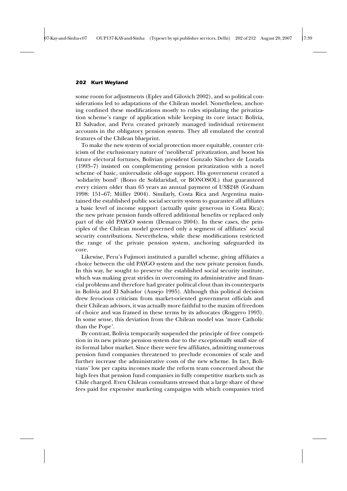some room for adjustments (Epley and Gilovich 2002), and so political considerations led to adaptations of the Chilean model. Nonetheless, anchoring confined these modifications mostly to rules stipulating the privatization scheme's range of application while keeping its core intact: Bolivia, El Salvador, and Peru created privately managed individual retirement accounts in the obligatory pension system. They all emulated the central features of the Chilean blueprint.

To make the new system of social protection more equitable, counter criticism of the exclusionary nature of 'neoliberal' privatization, and boost his future electoral fortunes, Bolivian president Gonzalo Sánchez de Lozada (1993–7) insisted on complementing pension privatization with a novel scheme of basic, universalistic old-age support. His government created a 'solidarity bond' (Bono de Solidaridad, or BONOSOL) that guaranteed every citizen older than 65 years an annual payment of US\$248 (Graham 1998: 151–67; Müller 2004). Similarly, Costa Rica and Argentina maintained the established public social security system to guarantee all affiliates a basic level of income support (actually quite generous in Costa Rica); the new private pension funds offered additional benefits or replaced only part of the old PAYGO system (Demarco 2004). In these cases, the principles of the Chilean model governed only a segment of affiliates' social security contributions. Nevertheless, while these modifications restricted the range of the private pension system, anchoring safeguarded its core.

Likewise, Peru's Fujimori instituted a parallel scheme, giving affiliates a choice between the old PAYGO system and the new private pension funds. In this way, he sought to preserve the established social security institute, which was making great strides in overcoming its administrative and financial problems and therefore had greater political clout than its counterparts in Bolivia and El Salvador (Ausejo 1995). Although this political decision drew ferocious criticism from market-oriented government officials and their Chilean advisors, it was actually more faithful to the maxim of freedom of choice and was framed in these terms by its advocates (Roggero 1993). In some sense, this deviation from the Chilean model was 'more Catholic than the Pope'.

By contrast, Bolivia temporarily suspended the principle of free competition in its new private pension system due to the exceptionally small size of its formal labor market. Since there were few affiliates, admitting numerous pension fund companies threatened to preclude economies of scale and further increase the administrative costs of the new scheme. In fact, Bolivians' low per capita incomes made the reform team concerned about the high fees that pension fund companies in fully competitive markets such as Chile charged. Even Chilean consultants stressed that a large share of these fees paid for expensive marketing campaigns with which companies tried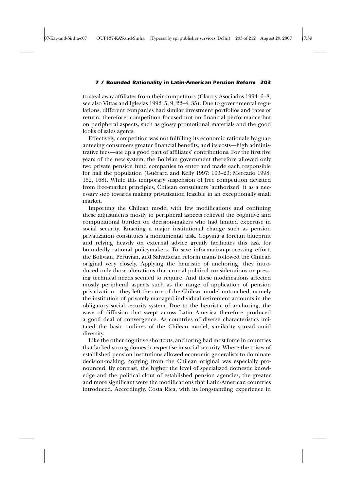to steal away affiliates from their competitors (Claro y Asociados 1994: 6–8; see also Vittas and Iglesias 1992: 5, 9, 22–4, 35). Due to governmental regulations, different companies had similar investment portfolios and rates of return; therefore, competition focused not on financial performance but on peripheral aspects, such as glossy promotional materials and the good looks of sales agents.

Effectively, competition was not fulfilling its economic rationale by guaranteeing consumers greater financial benefits, and its costs—high administrative fees—ate up a good part of affiliates' contributions. For the first five years of the new system, the Bolivian government therefore allowed only two private pension fund companies to enter and made each responsible for half the population (Guérard and Kelly 1997: 103–23; Mercado 1998: 152, 168). While this temporary suspension of free competition deviated from free-market principles, Chilean consultants 'authorized' it as a necessary step towards making privatization feasible in an exceptionally small market.

Importing the Chilean model with few modifications and confining these adjustments mostly to peripheral aspects relieved the cognitive and computational burden on decision-makers who had limited expertise in social security. Enacting a major institutional change such as pension privatization constitutes a monumental task. Copying a foreign blueprint and relying heavily on external advice greatly facilitates this task for boundedly rational policymakers. To save information-processing effort, the Bolivian, Peruvian, and Salvadoran reform teams followed the Chilean original very closely. Applying the heuristic of anchoring, they introduced only those alterations that crucial political considerations or pressing technical needs seemed to require. And these modifications affected mostly peripheral aspects such as the range of application of pension privatization—they left the core of the Chilean model untouched, namely the institution of privately managed individual retirement accounts in the obligatory social security system. Due to the heuristic of anchoring, the wave of diffusion that swept across Latin America therefore produced a good deal of convergence. As countries of diverse characteristics imitated the basic outlines of the Chilean model, similarity spread amid diversity.

Like the other cognitive shortcuts, anchoring had most force in countries that lacked strong domestic expertise in social security. Where the crises of established pension institutions allowed economic generalists to dominate decision-making, copying from the Chilean original was especially pronounced. By contrast, the higher the level of specialized domestic knowledge and the political clout of established pension agencies, the greater and more significant were the modifications that Latin-American countries introduced. Accordingly, Costa Rica, with its longstanding experience in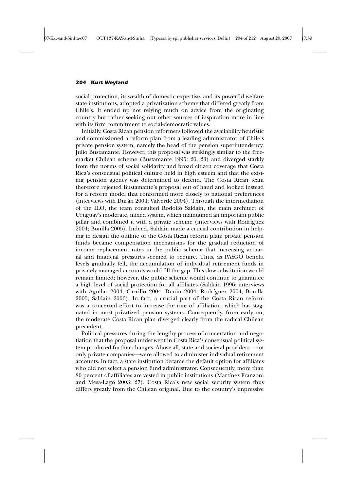social protection, its wealth of domestic expertise, and its powerful welfare state institutions, adopted a privatization scheme that differed greatly from Chile's. It ended up not relying much on advice from the originating country but rather seeking out other sources of inspiration more in line with its firm commitment to social-democratic values.

Initially, Costa Rican pension reformers followed the availability heuristic and commissioned a reform plan from a leading administrator of Chile's private pension system, namely the head of the pension superintendency, Julio Bustamante. However, this proposal was strikingly similar to the freemarket Chilean scheme (Bustamante 1995: 20, 23) and diverged starkly from the norms of social solidarity and broad citizen coverage that Costa Rica's consensual political culture held in high esteem and that the existing pension agency was determined to defend. The Costa Rican team therefore rejected Bustamante's proposal out of hand and looked instead for a reform model that conformed more closely to national preferences (interviews with Durán 2004; Valverde 2004). Through the intermediation of the ILO, the team consulted Rodolfo Saldain, the main architect of Uruguay's moderate, mixed system, which maintained an important public pillar and combined it with a private scheme (interviews with Rodríguez 2004; Bonilla 2005). Indeed, Saldain made a crucial contribution in helping to design the outline of the Costa Rican reform plan: private pension funds became compensation mechanisms for the gradual reduction of income replacement rates in the public scheme that increasing actuarial and financial pressures seemed to require. Thus, as PAYGO benefit levels gradually fell, the accumulation of individual retirement funds in privately managed accounts would fill the gap. This slow substitution would remain limited; however, the public scheme would continue to guarantee a high level of social protection for all affiliates (Saldain 1996; interviews with Aguilar 2004; Carrillo 2004; Durán 2004; Rodríguez 2004; Bonilla 2005; Saldain 2006). In fact, a crucial part of the Costa Rican reform was a concerted effort to increase the rate of affiliation, which has stagnated in most privatized pension systems. Consequently, from early on, the moderate Costa Rican plan diverged clearly from the radical Chilean precedent.

Political pressures during the lengthy process of concertation and negotiation that the proposal underwent in Costa Rica's consensual political system produced further changes. Above all, state and societal providers—not only private companies—were allowed to administer individual retirement accounts. In fact, a state institution became the default option for affiliates who did not select a pension fund administrator. Consequently, more than 80 percent of affiliates are vested in public institutions (Martínez Franzoni and Mesa-Lago 2003: 27). Costa Rica's new social security system thus differs greatly from the Chilean original. Due to the country's impressive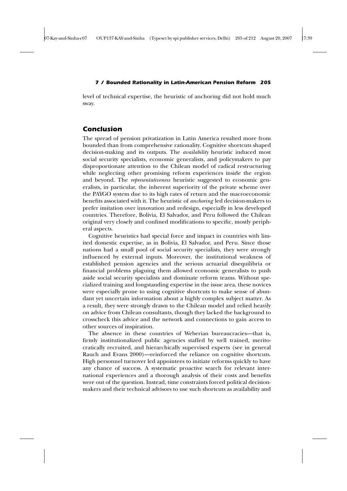level of technical expertise, the heuristic of anchoring did not hold much sway.

### *Conclusion*

The spread of pension privatization in Latin America resulted more from bounded than from comprehensive rationality. Cognitive shortcuts shaped decision-making and its outputs. The *availability* heuristic induced most social security specialists, economic generalists, and policymakers to pay disproportionate attention to the Chilean model of radical restructuring while neglecting other promising reform experiences inside the region and beyond. The *representativeness* heuristic suggested to economic generalists, in particular, the inherent superiority of the private scheme over the PAYGO system due to its high rates of return and the macroeconomic benefits associated with it. The heuristic of *anchoring* led decision-makers to prefer imitation over innovation and redesign, especially in less developed countries. Therefore, Bolivia, El Salvador, and Peru followed the Chilean original very closely and confined modifications to specific, mostly peripheral aspects.

Cognitive heuristics had special force and impact in countries with limited domestic expertise, as in Bolivia, El Salvador, and Peru. Since those nations had a small pool of social security specialists, they were strongly influenced by external inputs. Moreover, the institutional weakness of established pension agencies and the serious actuarial disequilibria or financial problems plaguing them allowed economic generalists to push aside social security specialists and dominate reform teams. Without specialized training and longstanding expertise in the issue area, these novices were especially prone to using cognitive shortcuts to make sense of abundant yet uncertain information about a highly complex subject matter. As a result, they were strongly drawn to the Chilean model and relied heavily on advice from Chilean consultants, though they lacked the background to crosscheck this advice and the network and connections to gain access to other sources of inspiration.

The absence in these countries of Weberian bureaucracies—that is, firmly institutionalized public agencies staffed by well trained, meritocratically recruited, and hierarchically supervised experts (see in general Rauch and Evans 2000)—reinforced the reliance on cognitive shortcuts. High personnel turnover led appointees to initiate reforms quickly to have any chance of success. A systematic proactive search for relevant international experiences and a thorough analysis of their costs and benefits were out of the question. Instead, time constraints forced political decisionmakers and their technical advisors to use such shortcuts as availability and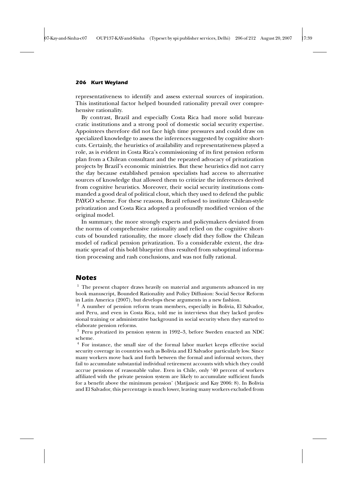representativeness to identify and assess external sources of inspiration. This institutional factor helped bounded rationality prevail over comprehensive rationality.

By contrast, Brazil and especially Costa Rica had more solid bureaucratic institutions and a strong pool of domestic social security expertise. Appointees therefore did not face high time pressures and could draw on specialized knowledge to assess the inferences suggested by cognitive shortcuts. Certainly, the heuristics of availability and representativeness played a role, as is evident in Costa Rica's commissioning of its first pension reform plan from a Chilean consultant and the repeated advocacy of privatization projects by Brazil's economic ministries. But these heuristics did not carry the day because established pension specialists had access to alternative sources of knowledge that allowed them to criticize the inferences derived from cognitive heuristics. Moreover, their social security institutions commanded a good deal of political clout, which they used to defend the public PAYGO scheme. For these reasons, Brazil refused to institute Chilean-style privatization and Costa Rica adopted a profoundly modified version of the original model.

In summary, the more strongly experts and policymakers deviated from the norms of comprehensive rationality and relied on the cognitive shortcuts of bounded rationality, the more closely did they follow the Chilean model of radical pension privatization. To a considerable extent, the dramatic spread of this bold blueprint thus resulted from suboptimal information processing and rash conclusions, and was not fully rational.

### *Notes*

<sup>1</sup> The present chapter draws heavily on material and arguments advanced in my book manuscript, Bounded Rationality and Policy Diffusion: Social Sector Reform in Latin America (2007), but develops these arguments in a new fashion.

<sup>2</sup> A number of pension reform team members, especially in Bolivia, El Salvador, and Peru, and even in Costa Rica, told me in interviews that they lacked professional training or administrative background in social security when they started to elaborate pension reforms.

<sup>3</sup> Peru privatized its pension system in 1992–3, before Sweden enacted an NDC scheme.

<sup>4</sup> For instance, the small size of the formal labor market keeps effective social security coverage in countries such as Bolivia and El Salvador particularly low. Since many workers move back and forth between the formal and informal sectors, they fail to accumulate substantial individual retirement accounts with which they could accrue pensions of reasonable value. Even in Chile, only '40 percent of workers affiliated with the private pension system are likely to accumulate sufficient funds for a benefit above the minimum pension' (Matijascic and Kay 2006: 8). In Bolivia and El Salvador, this percentage is much lower, leaving many workers excluded from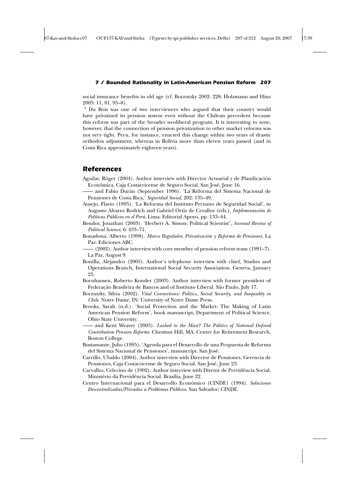social insurance benefits in old age (cf. Borzutzky 2002: 228; Holzmann and Hinz 2005: 11, 81, 95–8).

<sup>5</sup> Du Bois was one of two interviewees who argued that their country would have privatized its pension system even without the Chilean precedent because this reform was part of the broader neoliberal program. It is interesting to note, however, that the connection of pension privatization to other market reforms was not very tight. Peru, for instance, enacted this change within two years of drastic orthodox adjustment, whereas in Bolivia more than eleven years passed (and in Costa Rica approximately eighteen years).

## *References*

- Aguilar, Róger (2004). Author interview with Director Actuarial y de Planificación Económica, Caja Costarricense de Seguro Social. San José, June 16.
- and Fabio Durán (September 1996). 'La Reforma del Sistema Nacional de Pensiones de Costa Rica,' *Seguridad Social*, 202: 135–49.
- Ausejo, Flavio (1995). 'La Reforma del Instituto Peruano de Seguridad Social', in Augusto Alvarez Rodrich and Gabriel Ortiz de Cevallos (eds.), *Implementación de Políticas Públicas en el Perú*. Lima: Editorial Apoyo, pp. 133–44.
- Bendor, Jonathan (2003). 'Herbert A. Simon: Political Scientist', *Annual Review of Political Science*, 6: 433–71.
- Bonadona, Alberto (1998). *Marco Regulador, Privatización y Reforma de Pensiones*. La Paz: Ediciones ABC.
- (2002). Author interview with core member of pension reform team (1991–7). La Paz, August 9.
- Bonilla, Alejandro (2005). Author's telephone interview with chief, Studies and Operations Branch, International Social Security Association. Geneva, January 25.
- Bornhausen, Roberto Konder (2003). Author interview with former president of Federação Brasileira de Bancos and of Instituto Liberal. São Paulo, July 17.
- Borzutzky, Silvia (2002). *Vital Connections: Politics, Social Security, and Inequality in Chile*. Notre Dame, IN: University of Notre Dame Press.
- Brooks, Sarah (n.d.). 'Social Protection and the Market: The Making of Latin American Pension Reform', book manuscript, Department of Political Science, Ohio State University.
- and Kent Weaver (2005). *Lashed to the Mast? The Politics of Notional Defined Contribution Pension Reforms*. Chestnut Hill, MA: Center for Retirement Research, Boston College.
- Bustamante, Julio (1995). 'Agenda para el Desarrollo de una Propuesta de Reforma del Sistema Nacional de Pensiones', manuscript. San José.
- Carrillo, Ubaldo (2004). Author interview with Director de Pensiones, Gerencia de Pensiones, Caja Costarricense de Seguro Social. San José, June 23.
- Carvalho, Celecino de (1992). Author interview with Diretor de Previdência Social, Ministério da Previdência Social. Brasília, June 22.
- Centro Internacional para el Desarrollo Económico (CINDE) (1994). *Soluciones Descentralizadas/Privadas a Problemas Públicos*. San Salvador: CINDE.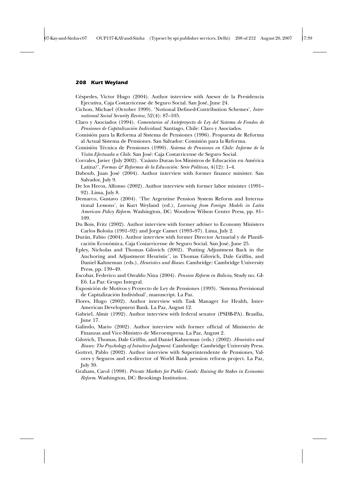- Céspedes, Víctor Hugo (2004). Author interview with Asesor de la Presidencia Ejecutiva, Caja Costarricense de Seguro Social. San José, June 24.
- Cichon, Michael (October 1999). 'Notional Defined-Contribution Schemes', *International Social Security Review*, 52(4): 87–105.
- Claro y Asociados (1994). *Comentarios al Anteproyecto de Ley del Sistema de Fondos de Pensiones de Capitalización Individual*. Santiago, Chile: Claro y Asociados.
- Comisión para la Reforma al Sistema de Pensiones (1996). Propuesta de Reforma al Actual Sistema de Pensiones. San Salvador: Comisión para la Reforma.
- Comisión Técnica de Pensiones (1990). *Sistema de Pensiones en Chile: Informe de la Visita Efectuada a Chile*. San José: Caja Costarricense de Seguro Social.
- Corrales, Javier (July 2002). 'Cuánto Duran los Ministros de Educación en América Latina?', *Formas & Reformas de la Educación: Serie Políticas*, 4(12): 1–4.
- Daboub, Juan José (2004). Author interview with former finance minister. San Salvador, July 9.
- De los Heros, Alfonso (2002). Author interview with former labor minister (1991– 92). Lima, July 8.
- Demarco, Gustavo (2004). 'The Argentine Pension System Reform and International Lessons', in Kurt Weyland (ed.), *Learning from Foreign Models in Latin American Policy Reform*. Washington, DC: Woodrow Wilson Center Press, pp. 81– 109.
- Du Bois, Fritz (2002). Author interview with former adviser to Economy Ministers Carlos Boloña (1991–92) and Jorge Camet (1993–97). Lima, July 2.
- Durán, Fabio (2004). Author interview with former Director Actuarial y de Planificación Económica, Caja Costarricense de Seguro Social. San José, June 25.
- Epley, Nicholas and Thomas Gilovich (2002). 'Putting Adjustment Back in the Anchoring and Adjustment Heuristic', in Thomas Gilovich, Dale Griffin, and Daniel Kahneman (eds.), *Heuristics and Biases*. Cambridge: Cambridge University Press, pp. 139–49.
- Escobar, Federico and Osvaldo Nina (2004). *Pension Reform in Bolivia*, Study no. GI-E6. La Paz: Grupo Integral.
- Exposición de Motivos y Proyecto de Ley de Pensiones (1993). 'Sistema Previsional de Capitalización Individual', manuscript. La Paz.
- Flores, Hugo (2002). Author interview with Task Manager for Health, Inter-American Development Bank. La Paz, August 12.
- Gabriel, Almir (1992). Author interview with federal senator (PSDB-PA). Brasília, June 17.
- Galindo, Mario (2002). Author interview with former official of Ministerio de Finanzas and Vice-Ministro de Microempresa. La Paz, August 2.
- Gilovich, Thomas, Dale Griffin, and Daniel Kahneman (eds.) (2002). *Heuristics and Biases: The Psychology of Intuitive Judgment.* Cambridge: Cambridge University Press.
- Gottret, Pablo (2002). Author interview with Superintendente de Pensiones, Valores y Seguros and ex-director of World Bank pension reform project. La Paz, July 30.
- Graham, Carol (1998). *Private Markets for Public Goods: Raising the Stakes in Economic Reform*. Washington, DC: Brookings Institution.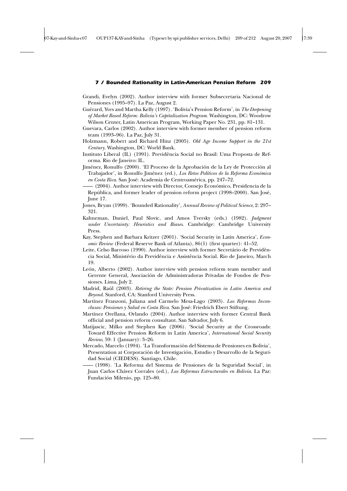- Grandi, Evelyn (2002). Author interview with former Subsecretaria Nacional de Pensiones (1995–97). La Paz, August 2.
- Guérard, Yves and Martha Kelly (1997). 'Bolivia's Pension Reform', in *The Deepening of Market Based Reform: Bolivia's Capitalization Program*. Washington, DC: Woodrow Wilson Center, Latin American Program, Working Paper No. 231, pp. 81–131.
- Guevara, Carlos (2002). Author interview with former member of pension reform team (1993–96). La Paz, July 31.
- Holzmann, Robert and Richard Hinz (2005). *Old Age Income Support in the 21st Century*. Washington, DC: World Bank.
- Instituto Liberal (IL) (1991). Previdência Social no Brasil: Uma Proposta de Reforma. Rio de Janeiro: IL.
- Jiménez, Ronulfo (2000). 'El Proceso de la Aprobación de la Ley de Protección al Trabajador', in Ronulfo Jiménez (ed.), *Los Retos Políticos de la Reforma Económica en Costa Rica*. San José: Academia de Centroamérica, pp. 247–72.
- (2004). Author interview with Director, Consejo Económico, Presidencia de la República, and former leader of pension reform project (1998–2000). San José, June 17.
- Jones, Bryan (1999). 'Bounded Rationality', *Annual Review of Political Science*, 2: 297– 321.
- Kahneman, Daniel, Paul Slovic, and Amos Tversky (eds.) (1982). *Judgment under Uncertainty: Heuristics and Biases*. Cambridge: Cambridge University Press.
- Kay, Stephen and Barbara Kritzer (2001). 'Social Security in Latin America', *Economic Review* (Federal Reserve Bank of Atlanta), 86(1) (first quarter): 41–52.
- Leite, Celso Barroso (1990). Author interview with former Secretário de Previdência Social, Ministério da Previdência e Assistência Social. Rio de Janeiro, March 19.
- León, Alberto (2002). Author interview with pension reform team member and Gerente General, Asociación de Administradoras Privadas de Fondos de Pensiones. Lima, July 2.
- Madrid, Raúl (2003). *Retiring the State: Pension Privatization in Latin America and Beyond*. Stanford, CA: Stanford University Press.
- Martínez Franzoni, Juliana and Carmelo Mesa-Lago (2003). *Las Reformas Inconclusas: Pensiones y Salud en Costa Rica*. San José: Friedrich Ebert Stiftung.
- Martínez Orellana, Orlando (2004). Author interview with former Central Bank official and pension reform consultant. San Salvador, July 6.
- Matijascic, Milko and Stephen Kay (2006). 'Social Security at the Crossroads: Toward Effective Pension Reform in Latin America', *International Social Security Review*, 59: 1 (January): 3–26.
- Mercado, Marcelo (1994). 'La Transformación del Sistema de Pensiones en Bolivia', Presentation at Corporación de Investigación, Estudio y Desarrollo de la Seguridad Social (CIEDESS). Santiago, Chile.
- (1998). 'La Reforma del Sistema de Pensiones de la Seguridad Social', in Juan Carlos Chávez Corrales (ed.), *Las Reformas Estructurales en Bolivia*. La Paz: Fundación Milenio, pp. 125–80.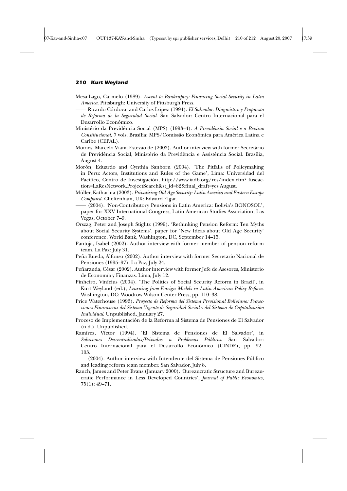- Mesa-Lago, Carmelo (1989). *Ascent to Bankruptcy: Financing Social Security in Latin America*. Pittsburgh: University of Pittsburgh Press.
- Ricardo Córdova, and Carlos López (1994). *El Salvador: Diagnóstico y Propuesta de Reforma de la Seguridad Social*. San Salvador: Centro Internacional para el Desarrollo Económico.
- Ministério da Previdência Social (MPS) (1993–4). *A Previdência Social e a Revisão Constitucional*, 7 vols. Brasília: MPS/Comissão Econômica para América Latina e Caribe (CEPAL).
- Moraes, Marcelo Viana Estevão de (2003). Author interview with former Secretário de Previdência Social, Ministério da Previdência e Assistência Social. Brasília, August 4.
- Morón, Eduardo and Cynthia Sanborn (2004). 'The Pitfalls of Policymaking in Peru: Actors, Institutions and Rules of the Game', Lima: Universidad del Pacífico, Centro de Investigación, http://www.iadb.org/res/index.cfm? fuseaction=LaResNetwork.ProjectSearch&st\_id=82&final\_draft=yes August.
- Müller, Katharina (2003). *Privatising Old-Age Security: Latin America and Eastern Europe Compared.* Cheltenham, UK: Edward Elgar.
- (2004). 'Non-Contributory Pensions in Latin America: Bolivia's BONOSOL', paper for XXV International Congress, Latin American Studies Association, Las Vegas, October 7–9.
- Orszag, Peter and Joseph Stiglitz (1999). 'Rethinking Pension Reform: Ten Myths about Social Security Systems', paper for 'New Ideas about Old Age Security' conference, World Bank, Washington, DC, September 14–15.
- Pantoja, Isabel (2002). Author interview with former member of pension reform team. La Paz: July 31.
- Peña Rueda, Alfonso (2002). Author interview with former Secretario Nacional de Pensiones (1995–97). La Paz, July 24.
- Peñaranda, César (2002). Author interview with former Jefe de Asesores, Ministerio de Economía y Finanzas. Lima, July 12.
- Pinheiro, Vinícius (2004). 'The Politics of Social Security Reform in Brazil', in Kurt Weyland (ed.), *Learning from Foreign Models in Latin American Policy Reform*. Washington, DC: Woodrow Wilson Center Press, pp. 110–38.
- Price Waterhouse (1993). *Proyecto de Reforma del Sistema Previsional Boliviano: Proyecciones Financieras del Sistema Vigente de Seguridad Social y del Sistema de Capitalización Individual*. Unpublished, January 27.
- Proceso de Implementación de la Reforma al Sistema de Pensiones de El Salvador (n.d.). Unpublished.
- Ramírez, Víctor (1994). 'El Sistema de Pensiones de El Salvador', in *Soluciones Descentralizadas/Privadas a Problemas Públicos*. San Salvador: Centro Internacional para el Desarrollo Económico (CINDE), pp. 92– 103.
- (2004). Author interview with Intendente del Sistema de Pensiones Público and leading reform team member. San Salvador, July 8.
- Rauch, James and Peter Evans (January 2000). 'Bureaucratic Structure and Bureaucratic Performance in Less Developed Countries', *Journal of Public Economics*,  $75(1): 49-71.$